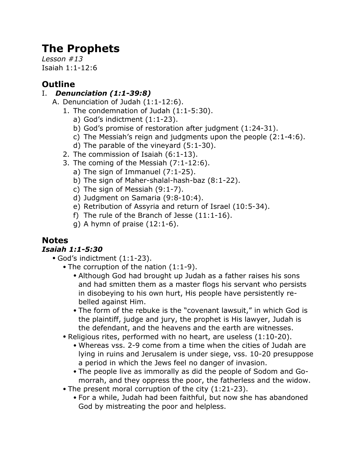# **The Prophets**

*Lesson #13* Isaiah 1:1-12:6

# **Outline**

### I. *Denunciation (1:1-39:8)*

- A. Denunciation of Judah (1:1-12:6).
	- 1. The condemnation of Judah (1:1-5:30).
		- a) God's indictment (1:1-23).
		- b) God's promise of restoration after judgment (1:24-31).
		- c) The Messiah's reign and judgments upon the people (2:1-4:6).
		- d) The parable of the vineyard (5:1-30).
	- 2. The commission of Isaiah (6:1-13).
	- 3. The coming of the Messiah (7:1-12:6).
		- a) The sign of Immanuel (7:1-25).
		- b) The sign of Maher-shalal-hash-baz (8:1-22).
		- c) The sign of Messiah (9:1-7).
		- d) Judgment on Samaria (9:8-10:4).
		- e) Retribution of Assyria and return of Israel (10:5-34).
		- f) The rule of the Branch of Jesse (11:1-16).
		- g) A hymn of praise  $(12:1-6)$ .

## **Notes**

### *Isaiah 1:1-5:30*

- God's indictment (1:1-23).
	- The corruption of the nation (1:1-9).
		- Although God had brought up Judah as a father raises his sons and had smitten them as a master flogs his servant who persists in disobeying to his own hurt, His people have persistently rebelled against Him.
		- The form of the rebuke is the "covenant lawsuit," in which God is the plaintiff, judge and jury, the prophet is His lawyer, Judah is the defendant, and the heavens and the earth are witnesses.
	- Religious rites, performed with no heart, are useless (1:10-20).
		- Whereas vss. 2-9 come from a time when the cities of Judah are lying in ruins and Jerusalem is under siege, vss. 10-20 presuppose a period in which the Jews feel no danger of invasion.
		- The people live as immorally as did the people of Sodom and Gomorrah, and they oppress the poor, the fatherless and the widow.
	- The present moral corruption of the city (1:21-23).
		- For a while, Judah had been faithful, but now she has abandoned God by mistreating the poor and helpless.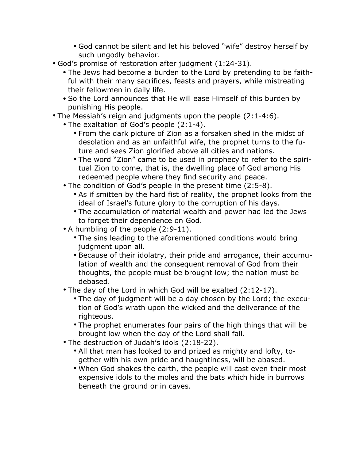- God cannot be silent and let his beloved "wife" destroy herself by such ungodly behavior.
- God's promise of restoration after judgment (1:24-31).
	- The Jews had become a burden to the Lord by pretending to be faithful with their many sacrifices, feasts and prayers, while mistreating their fellowmen in daily life.
	- So the Lord announces that He will ease Himself of this burden by punishing His people.
- The Messiah's reign and judgments upon the people (2:1-4:6).
	- The exaltation of God's people (2:1-4).
		- From the dark picture of Zion as a forsaken shed in the midst of desolation and as an unfaithful wife, the prophet turns to the future and sees Zion glorified above all cities and nations.
		- The word "Zion" came to be used in prophecy to refer to the spiritual Zion to come, that is, the dwelling place of God among His redeemed people where they find security and peace.
	- The condition of God's people in the present time (2:5-8).
		- As if smitten by the hard fist of reality, the prophet looks from the ideal of Israel's future glory to the corruption of his days.
		- The accumulation of material wealth and power had led the Jews to forget their dependence on God.
	- A humbling of the people (2:9-11).
		- The sins leading to the aforementioned conditions would bring judgment upon all.
		- Because of their idolatry, their pride and arrogance, their accumulation of wealth and the consequent removal of God from their thoughts, the people must be brought low; the nation must be debased.
	- The day of the Lord in which God will be exalted (2:12-17).
		- The day of judgment will be a day chosen by the Lord; the execution of God's wrath upon the wicked and the deliverance of the righteous.
		- The prophet enumerates four pairs of the high things that will be brought low when the day of the Lord shall fall.
	- The destruction of Judah's idols (2:18-22).
		- All that man has looked to and prized as mighty and lofty, together with his own pride and haughtiness, will be abased.
		- When God shakes the earth, the people will cast even their most expensive idols to the moles and the bats which hide in burrows beneath the ground or in caves.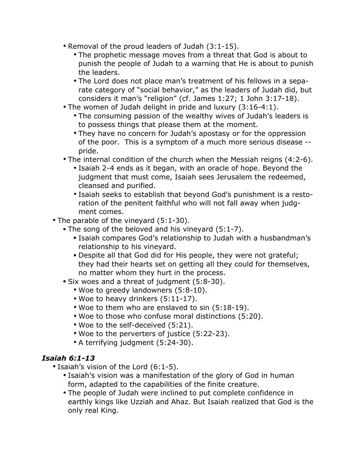- Removal of the proud leaders of Judah (3:1-15).
	- The prophetic message moves from a threat that God is about to punish the people of Judah to a warning that He is about to punish the leaders.
	- The Lord does not place man's treatment of his fellows in a separate category of "social behavior," as the leaders of Judah did, but considers it man's "religion" (cf. James 1:27; 1 John 3:17-18).
- The women of Judah delight in pride and luxury (3:16-4:1).
	- The consuming passion of the wealthy wives of Judah's leaders is to possess things that please them at the moment.
	- They have no concern for Judah's apostasy or for the oppression of the poor. This is a symptom of a much more serious disease - pride.
- The internal condition of the church when the Messiah reigns (4:2-6).
	- Isaiah 2-4 ends as it began, with an oracle of hope. Beyond the judgment that must come, Isaiah sees Jerusalem the redeemed, cleansed and purified.
	- Isaiah seeks to establish that beyond God's punishment is a restoration of the penitent faithful who will not fall away when judgment comes.
- The parable of the vineyard (5:1-30).
	- The song of the beloved and his vineyard (5:1-7).
		- Isaiah compares God's relationship to Judah with a husbandman's relationship to his vineyard.
		- Despite all that God did for His people, they were not grateful; they had their hearts set on getting all they could for themselves, no matter whom they hurt in the process.
	- Six woes and a threat of judgment (5:8-30).
		- Woe to greedy landowners (5:8-10).
		- Woe to heavy drinkers (5:11-17).
		- Woe to them who are enslaved to sin (5:18-19).
		- Woe to those who confuse moral distinctions (5:20).
		- Woe to the self-deceived (5:21).
		- Woe to the perverters of justice (5:22-23).
		- A terrifying judgment (5:24-30).

#### *Isaiah 6:1-13*

- Isaiah's vision of the Lord (6:1-5).
	- Isaiah's vision was a manifestation of the glory of God in human form, adapted to the capabilities of the finite creature.
	- The people of Judah were inclined to put complete confidence in earthly kings like Uzziah and Ahaz. But Isaiah realized that God is the only real King.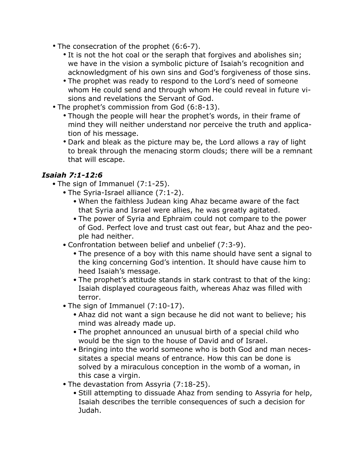- The consecration of the prophet (6:6-7).
	- It is not the hot coal or the seraph that forgives and abolishes sin; we have in the vision a symbolic picture of Isaiah's recognition and acknowledgment of his own sins and God's forgiveness of those sins.
	- The prophet was ready to respond to the Lord's need of someone whom He could send and through whom He could reveal in future visions and revelations the Servant of God.
- The prophet's commission from God (6:8-13).
	- Though the people will hear the prophet's words, in their frame of mind they will neither understand nor perceive the truth and application of his message.
	- Dark and bleak as the picture may be, the Lord allows a ray of light to break through the menacing storm clouds; there will be a remnant that will escape.

#### *Isaiah 7:1-12:6*

- The sign of Immanuel (7:1-25).
	- The Syria-Israel alliance (7:1-2).
		- When the faithless Judean king Ahaz became aware of the fact that Syria and Israel were allies, he was greatly agitated.
		- The power of Syria and Ephraim could not compare to the power of God. Perfect love and trust cast out fear, but Ahaz and the people had neither.
	- Confrontation between belief and unbelief (7:3-9).
		- The presence of a boy with this name should have sent a signal to the king concerning God's intention. It should have cause him to heed Isaiah's message.
		- The prophet's attitude stands in stark contrast to that of the king: Isaiah displayed courageous faith, whereas Ahaz was filled with terror.
	- The sign of Immanuel (7:10-17).
		- Ahaz did not want a sign because he did not want to believe; his mind was already made up.
		- The prophet announced an unusual birth of a special child who would be the sign to the house of David and of Israel.
		- Bringing into the world someone who is both God and man necessitates a special means of entrance. How this can be done is solved by a miraculous conception in the womb of a woman, in this case a virgin.
	- The devastation from Assyria (7:18-25).
		- Still attempting to dissuade Ahaz from sending to Assyria for help, Isaiah describes the terrible consequences of such a decision for Judah.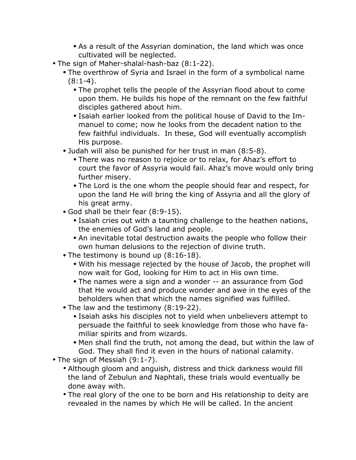- As a result of the Assyrian domination, the land which was once cultivated will be neglected.
- The sign of Maher-shalal-hash-baz (8:1-22).
	- The overthrow of Syria and Israel in the form of a symbolical name  $(8:1-4)$ .
		- The prophet tells the people of the Assyrian flood about to come upon them. He builds his hope of the remnant on the few faithful disciples gathered about him.
		- Isaiah earlier looked from the political house of David to the Immanuel to come; now he looks from the decadent nation to the few faithful individuals. In these, God will eventually accomplish His purpose.
	- Judah will also be punished for her trust in man (8:5-8).
		- There was no reason to rejoice or to relax, for Ahaz's effort to court the favor of Assyria would fail. Ahaz's move would only bring further misery.
		- The Lord is the one whom the people should fear and respect, for upon the land He will bring the king of Assyria and all the glory of his great army.
	- God shall be their fear (8:9-15).
		- Isaiah cries out with a taunting challenge to the heathen nations, the enemies of God's land and people.
		- An inevitable total destruction awaits the people who follow their own human delusions to the rejection of divine truth.
	- The testimony is bound up (8:16-18).
		- With his message rejected by the house of Jacob, the prophet will now wait for God, looking for Him to act in His own time.
		- The names were a sign and a wonder -- an assurance from God that He would act and produce wonder and awe in the eyes of the beholders when that which the names signified was fulfilled.
	- The law and the testimony (8:19-22).
		- Isaiah asks his disciples not to yield when unbelievers attempt to persuade the faithful to seek knowledge from those who have familiar spirits and from wizards.
		- Men shall find the truth, not among the dead, but within the law of God. They shall find it even in the hours of national calamity.
- The sign of Messiah (9:1-7).
	- Although gloom and anguish, distress and thick darkness would fill the land of Zebulun and Naphtali, these trials would eventually be done away with.
	- The real glory of the one to be born and His relationship to deity are revealed in the names by which He will be called. In the ancient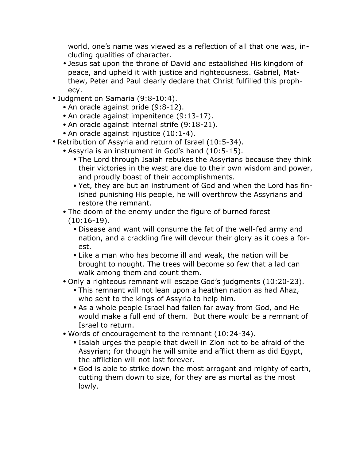world, one's name was viewed as a reflection of all that one was, including qualities of character.

- Jesus sat upon the throne of David and established His kingdom of peace, and upheld it with justice and righteousness. Gabriel, Matthew, Peter and Paul clearly declare that Christ fulfilled this prophecy.
- Judgment on Samaria (9:8-10:4).
	- An oracle against pride (9:8-12).
	- An oracle against impenitence (9:13-17).
	- An oracle against internal strife (9:18-21).
	- An oracle against injustice (10:1-4).
- Retribution of Assyria and return of Israel (10:5-34).
	- Assyria is an instrument in God's hand (10:5-15).
		- The Lord through Isaiah rebukes the Assyrians because they think their victories in the west are due to their own wisdom and power, and proudly boast of their accomplishments.
		- Yet, they are but an instrument of God and when the Lord has finished punishing His people, he will overthrow the Assyrians and restore the remnant.
	- The doom of the enemy under the figure of burned forest (10:16-19).
		- Disease and want will consume the fat of the well-fed army and nation, and a crackling fire will devour their glory as it does a forest.
		- Like a man who has become ill and weak, the nation will be brought to nought. The trees will become so few that a lad can walk among them and count them.
	- Only a righteous remnant will escape God's judgments (10:20-23).
		- This remnant will not lean upon a heathen nation as had Ahaz, who sent to the kings of Assyria to help him.
		- As a whole people Israel had fallen far away from God, and He would make a full end of them. But there would be a remnant of Israel to return.
	- Words of encouragement to the remnant (10:24-34).
		- Isaiah urges the people that dwell in Zion not to be afraid of the Assyrian; for though he will smite and afflict them as did Egypt, the affliction will not last forever.
		- God is able to strike down the most arrogant and mighty of earth, cutting them down to size, for they are as mortal as the most lowly.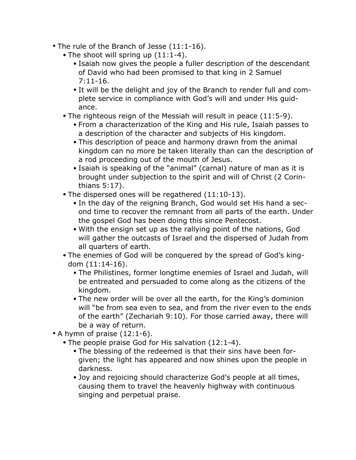- The rule of the Branch of Jesse (11:1-16).
	- The shoot will spring up  $(11:1-4)$ .
		- Isaiah now gives the people a fuller description of the descendant of David who had been promised to that king in 2 Samuel 7:11-16.
		- It will be the delight and joy of the Branch to render full and complete service in compliance with God's will and under His guidance.
	- The righteous reign of the Messiah will result in peace (11:5-9).
		- From a characterization of the King and His rule, Isaiah passes to a description of the character and subjects of His kingdom.
		- This description of peace and harmony drawn from the animal kingdom can no more be taken literally than can the description of a rod proceeding out of the mouth of Jesus.
		- Isaiah is speaking of the "animal" (carnal) nature of man as it is brought under subjection to the spirit and will of Christ (2 Corinthians 5:17).
	- The dispersed ones will be regathered (11:10-13).
		- In the day of the reigning Branch, God would set His hand a second time to recover the remnant from all parts of the earth. Under the gospel God has been doing this since Pentecost.
		- With the ensign set up as the rallying point of the nations, God will gather the outcasts of Israel and the dispersed of Judah from all quarters of earth.
	- The enemies of God will be conquered by the spread of God's kingdom (11:14-16).
		- The Philistines, former longtime enemies of Israel and Judah, will be entreated and persuaded to come along as the citizens of the kingdom.
		- The new order will be over all the earth, for the King's dominion will "be from sea even to sea, and from the river even to the ends of the earth" (Zechariah 9:10). For those carried away, there will be a way of return.
- A hymn of praise (12:1-6).
	- The people praise God for His salvation (12:1-4).
		- The blessing of the redeemed is that their sins have been forgiven; the light has appeared and now shines upon the people in darkness.
		- Joy and rejoicing should characterize God's people at all times, causing them to travel the heavenly highway with continuous singing and perpetual praise.